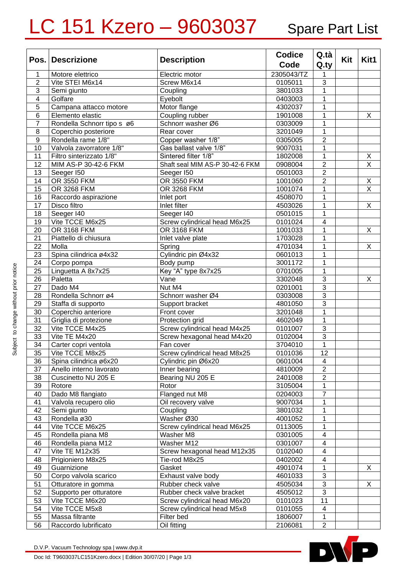## LC 151 Kzero - 9603037 Spare Part List

|                 | Pos. Descrizione           | <b>Description</b>              | <b>Codice</b> | Q.tà                      |     |                         |
|-----------------|----------------------------|---------------------------------|---------------|---------------------------|-----|-------------------------|
|                 |                            |                                 | Code          | Q.ty                      | Kit | Kit1                    |
| 1               | Motore elettrico           | Electric motor                  | 2305043/TZ    |                           |     |                         |
| $\overline{2}$  | Vite STEI M6x14            | Screw M6x14                     | 0105011       | 3                         |     |                         |
| $\overline{3}$  | Semi giunto                | Coupling                        | 3801033       | 1                         |     |                         |
| 4               | Golfare                    | Eyebolt                         | 0403003       | 1                         |     |                         |
| 5               | Campana attacco motore     | Motor flange                    | 4302037       | 1                         |     |                         |
| 6               | Elemento elastic           | Coupling rubber                 | 1901008       | 1                         |     | X                       |
| $\overline{7}$  | Rondella Schnorr tipo s ø6 | Schnorr washer Ø6               | 0303009       | 1                         |     |                         |
| 8               | Coperchio posteriore       | Rear cover                      | 3201049       | 1                         |     |                         |
| $\mathsf g$     | Rondella rame 1/8"         | Copper washer 1/8"              | 0305005       | $\overline{2}$            |     |                         |
| 10              | Valvola zavorratore 1/8"   | Gas ballast valve 1/8"          | 9007031       | 1                         |     |                         |
| 11              | Filtro sinterizzato 1/8"   | Sintered filter 1/8"            | 1802008       | 1                         |     | Χ                       |
| 12              | MIM AS-P 30-42-6 FKM       | Shaft seal MIM AS-P 30-42-6 FKM | 0908004       | $\overline{2}$            |     | $\overline{X}$          |
| 13              | Seeger I50                 | Seeger I50                      | 0501003       | $\overline{2}$            |     |                         |
| 14              | OR 3550 FKM                | OR 3550 FKM                     | 1001060       | $\overline{2}$            |     | Χ                       |
| 15              | OR 3268 FKM                | OR 3268 FKM                     | 1001074       | 1                         |     | $\overline{\mathsf{x}}$ |
| 16              | Raccordo aspirazione       | Inlet port                      | 4508070       | 1                         |     |                         |
| 17              | Disco filtro               | Inlet filter                    | 4503026       | 1                         |     | X                       |
| 18              | Seeger I40                 | Seeger I40                      | 0501015       | 1                         |     |                         |
| 19              | Vite TCCE M6x25            | Screw cylindrical head M6x25    | 0101024       | 4                         |     |                         |
| 20              | OR 3168 FKM                | OR 3168 FKM                     | 1001033       | 1                         |     | Χ                       |
| 21              | Piattello di chiusura      | Inlet valve plate               | 1703028       | 1                         |     |                         |
| 22              | Molla                      | Spring                          | 4701034       | 1                         |     | Χ                       |
| 23              | Spina cilindrica ø4x32     | Cylindric pin Ø4x32             | 0601013       | 1                         |     |                         |
| 24              | Corpo pompa                | Body pump                       | 3001172       | 1                         |     |                         |
| 25              | Linguetta A 8x7x25         | Key "A" type 8x7x25             | 0701005       | 1                         |     |                         |
| 26              | Paletta                    | Vane                            | 3302048       | 3                         |     | Χ                       |
| 27              | Dado M4                    | Nut M4                          | 0201001       | $\overline{3}$            |     |                         |
| 28              | Rondella Schnorr ø4        | Schnorr washer Ø4               | 0303008       | $\overline{3}$            |     |                         |
| 29              | Staffa di supporto         | Support bracket                 | 4801050       | 3                         |     |                         |
| 30              | Coperchio anteriore        | Front cover                     | 3201048       | 1                         |     |                         |
| 31              | Griglia di protezione      | Protection grid                 | 4602049       | 1                         |     |                         |
| 32              | Vite TCCE M4x25            | Screw cylindrical head M4x25    | 0101007       | 3                         |     |                         |
| 33              | Vite TE M4x20              | Screw hexagonal head M4x20      | 0102004       | $\overline{3}$            |     |                         |
| 34              | Carter copri ventola       | Fan cover                       | 3704010       | $\mathbf 1$               |     |                         |
| $\overline{35}$ | Vite TCCE M8x25            | Screw cylindrical head M8x25    | 0101036       | 12                        |     |                         |
| 36              | Spina cilindrica ø6x20     | Cylindric pin Ø6x20             | 0601004       | 4                         |     |                         |
| 37              | Anello interno lavorato    | Inner bearing                   | 4810009       | $\overline{2}$            |     |                         |
| 38              | Cuscinetto NU 205 E        | Bearing NU 205 E                | 2401008       | $\overline{2}$            |     |                         |
| 39              | Rotore                     | Rotor                           | 3105004       | 1                         |     |                         |
| 40              | Dado M8 flangiato          | Flanged nut M8                  | 0204003       | $\overline{7}$            |     |                         |
| 41              | Valvola recupero olio      | Oil recovery valve              | 9007034       | 1                         |     |                         |
| 42              | Semi giunto                | Coupling                        | 3801032       | 1                         |     |                         |
| 43              | Rondella ø30               | Washer Ø30                      | 4001052       | 1                         |     |                         |
| 44              | Vite TCCE M6x25            | Screw cylindrical head M6x25    | 0113005       | 1                         |     |                         |
| 45              | Rondella piana M8          | Washer M8                       | 0301005       | 4                         |     |                         |
| 46              | Rondella piana M12         | Washer M12                      | 0301007       | 4                         |     |                         |
| 47              | Vite TE M12x35             | Screw hexagonal head M12x35     | 0102040       | 4                         |     |                         |
| 48              | Prigioniero M8x25          | Tie-rod M8x25                   | 0402002       | 4                         |     |                         |
| 49              | Guarnizione                | Gasket                          | 4901074       | 1                         |     | X                       |
| 50              | Corpo valvola scarico      | Exhaust valve body              | 4601033       | 3                         |     |                         |
| 51              | Otturatore in gomma        | Rubber check valve              | 4505034       | $\ensuremath{\mathsf{3}}$ |     | Χ                       |
| 52              | Supporto per otturatore    | Rubber check valve bracket      | 4505012       | $\mathfrak{B}$            |     |                         |
| 53              | Vite TCCE M6x20            | Screw cylindrical head M6x20    | 0101023       | 11                        |     |                         |
| 54              | Vite TCCE M5x8             | Screw cylindrical head M5x8     | 0101055       | $\overline{4}$            |     |                         |
| 55              | Massa filtrante            | Filter bed                      | 1806007       | 1                         |     |                         |
| 56              | Raccordo lubrificato       | Oil fitting                     | 2106081       | $\overline{2}$            |     |                         |

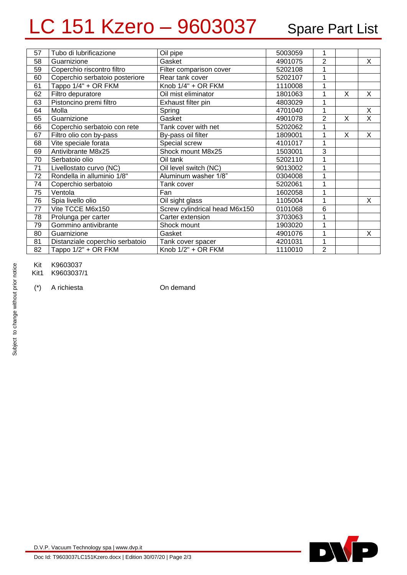## LC 151 Kzero - 9603037 Spare Part List

| 57 | Tubo di lubrificazione          | Oil pipe                      | 5003059 | 1              |   |   |
|----|---------------------------------|-------------------------------|---------|----------------|---|---|
| 58 | Guarnizione                     | Gasket                        | 4901075 | $\overline{2}$ |   | X |
| 59 | Coperchio riscontro filtro      | Filter comparison cover       | 5202108 | 1              |   |   |
| 60 | Coperchio serbatoio posteriore  | Rear tank cover               | 5202107 |                |   |   |
| 61 | Tappo 1/4" + OR FKM             | Knob 1/4" + OR FKM            | 1110008 | 1              |   |   |
| 62 | Filtro depuratore               | Oil mist eliminator           | 1801063 |                | X | X |
| 63 | Pistoncino premi filtro         | Exhaust filter pin            | 4803029 | 1              |   |   |
| 64 | Molla                           | Spring                        | 4701040 |                |   | X |
| 65 | Guarnizione                     | Gasket                        | 4901078 | $\overline{2}$ | X | X |
| 66 | Coperchio serbatoio con rete    | Tank cover with net           | 5202062 | 1              |   |   |
| 67 | Filtro olio con by-pass         | By-pass oil filter            | 1809001 | 1              | X | X |
| 68 | Vite speciale forata            | Special screw                 | 4101017 | 1              |   |   |
| 69 | Antivibrante M8x25              | Shock mount M8x25             | 1503001 | 3              |   |   |
| 70 | Serbatoio olio                  | Oil tank                      | 5202110 | 1              |   |   |
| 71 | Livellostato curvo (NC)         | Oil level switch (NC)         | 9013002 | 1              |   |   |
| 72 | Rondella in alluminio 1/8"      | Aluminum washer 1/8"          | 0304008 | 1              |   |   |
| 74 | Coperchio serbatoio             | Tank cover                    | 5202061 |                |   |   |
| 75 | Ventola                         | Fan                           | 1602058 |                |   |   |
| 76 | Spia livello olio               | Oil sight glass               | 1105004 |                |   | X |
| 77 | Vite TCCE M6x150                | Screw cylindrical head M6x150 | 0101068 | 6              |   |   |
| 78 | Prolunga per carter             | Carter extension              | 3703063 |                |   |   |
| 79 | Gommino antivibrante            | Shock mount                   | 1903020 | 1              |   |   |
| 80 | Guarnizione                     | Gasket                        | 4901076 |                |   | X |
| 81 | Distanziale coperchio serbatoio | Tank cover spacer             | 4201031 | 1              |   |   |
| 82 | Tappo 1/2" + OR FKM             | Knob 1/2" + OR FKM            | 1110010 | $\overline{2}$ |   |   |

## Kit K9603037

Kit1 K9603037/1

(\*) A richiesta On demand